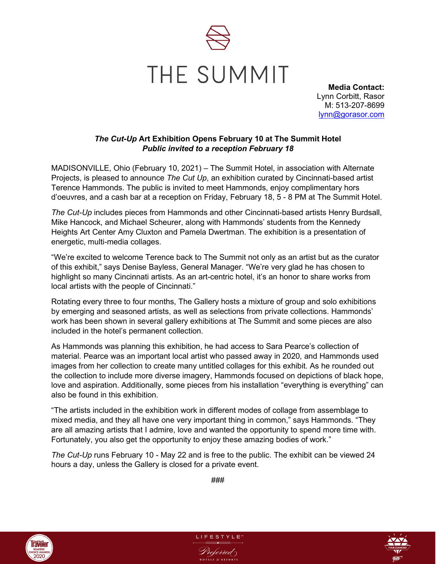

**Media Contact:** Lynn Corbitt, Rasor M: 513-207-8699 [lynn@gorasor.com](mailto:lynn@gorasor.com)

## *The Cut-Up* **Art Exhibition Opens February 10 at The Summit Hotel** *Public invited to a reception February 18*

MADISONVILLE, Ohio (February 10, 2021) – The Summit Hotel, in association with Alternate Projects, is pleased to announce *The Cut Up*, an exhibition curated by Cincinnati-based artist Terence Hammonds. The public is invited to meet Hammonds, enjoy complimentary hors d'oeuvres, and a cash bar at a reception on Friday, February 18, 5 - 8 PM at The Summit Hotel.

*The Cut-Up* includes pieces from Hammonds and other Cincinnati-based artists Henry Burdsall, Mike Hancock, and Michael Scheurer, along with Hammonds' students from the Kennedy Heights Art Center Amy Cluxton and Pamela Dwertman. The exhibition is a presentation of energetic, multi-media collages.

"We're excited to welcome Terence back to The Summit not only as an artist but as the curator of this exhibit," says Denise Bayless, General Manager. "We're very glad he has chosen to highlight so many Cincinnati artists. As an art-centric hotel, it's an honor to share works from local artists with the people of Cincinnati."

Rotating every three to four months, The Gallery hosts a mixture of group and solo exhibitions by emerging and seasoned artists, as well as selections from private collections. Hammonds' work has been shown in several gallery exhibitions at The Summit and some pieces are also included in the hotel's permanent collection.

As Hammonds was planning this exhibition, he had access to Sara Pearce's collection of material. Pearce was an important local artist who passed away in 2020, and Hammonds used images from her collection to create many untitled collages for this exhibit. As he rounded out the collection to include more diverse imagery, Hammonds focused on depictions of black hope, love and aspiration. Additionally, some pieces from his installation "everything is everything" can also be found in this exhibition.

"The artists included in the exhibition work in different modes of collage from assemblage to mixed media, and they all have one very important thing in common," says Hammonds. "They are all amazing artists that I admire, love and wanted the opportunity to spend more time with. Fortunately, you also get the opportunity to enjoy these amazing bodies of work."

*The Cut-Up* runs February 10 - May 22 and is free to the public. The exhibit can be viewed 24 hours a day, unless the Gallery is closed for a private event.

###

LIFESTYLE<sup>®</sup>

Preferred